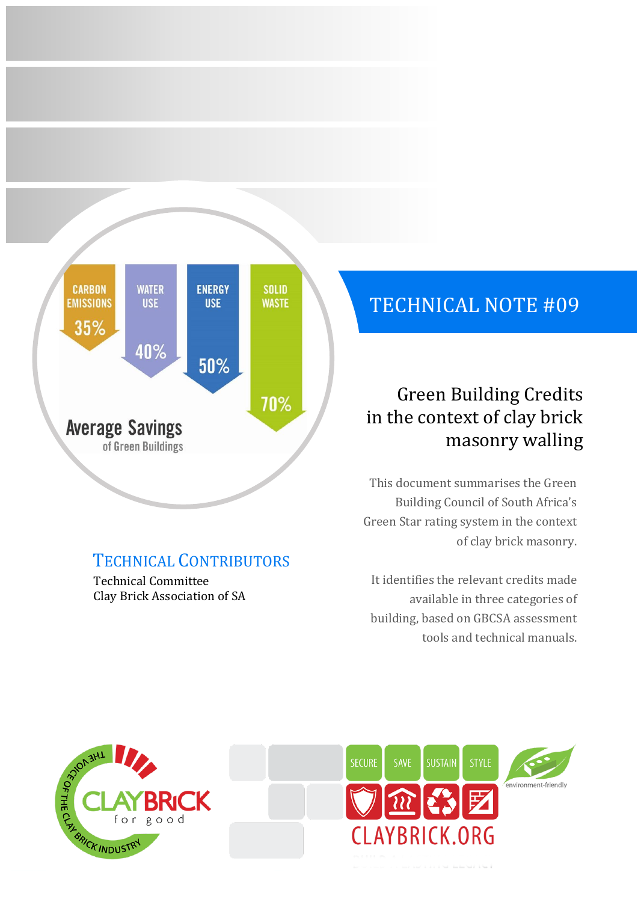

# TECHNICAL CONTRIBUTORS

Technical Committee Clay Brick Association of SA

# TECHNICAL NOTE #09

# Green Building Credits in the context of clay brick masonry walling

This document summarises the Green Building Council of South Africa's Green Star rating system in the context of clay brick masonry.

It identifies the relevant credits made available in three categories of building, based on GBCSA assessment tools and technical manuals.



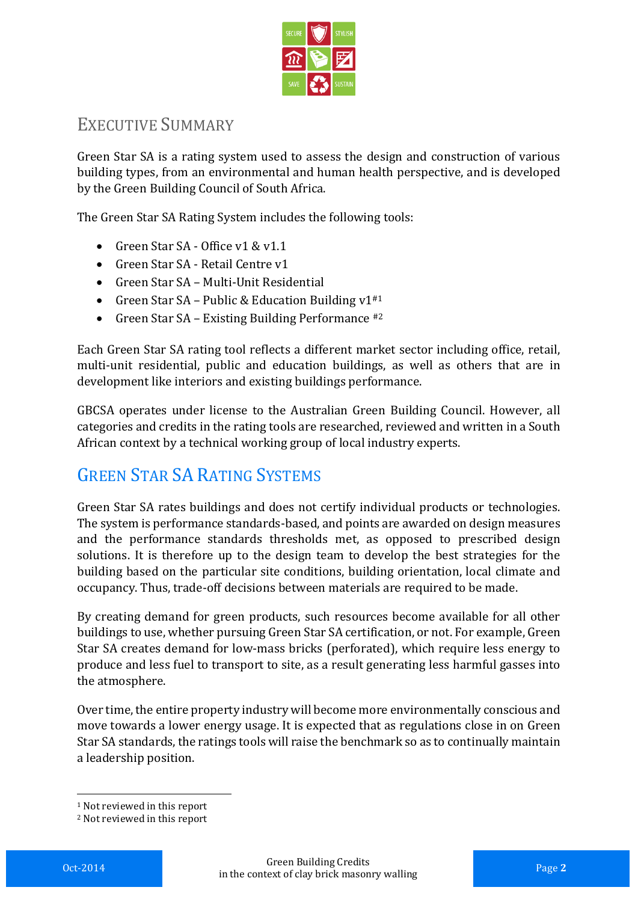

### EXECUTIVE SUMMARY

Green Star SA is a rating system used to assess the design and construction of various building types, from an environmental and human health perspective, and is developed by the Green Building Council of South Africa.

The Green Star SA Rating System includes the following tools:

- Green Star SA Office v1 & v1.1
- Green Star SA Retail Centre v1
- Green Star SA Multi-Unit Residential
- Green Star SA Public & Education Building  $v1^{*1}$
- Green Star SA Existing Building Performance  $#2$

Each Green Star SA rating tool reflects a different market sector including office, retail, multi-unit residential, public and education buildings, as well as others that are in development like interiors and existing buildings performance.

GBCSA operates under license to the Australian Green Building Council. However, all categories and credits in the rating tools are researched, reviewed and written in a South African context by a technical working group of local industry experts.

# GREEN STAR SA RATING SYSTEMS

Green Star SA rates buildings and does not certify individual products or technologies. The system is performance standards-based, and points are awarded on design measures and the performance standards thresholds met, as opposed to prescribed design solutions. It is therefore up to the design team to develop the best strategies for the building based on the particular site conditions, building orientation, local climate and occupancy. Thus, trade-off decisions between materials are required to be made.

By creating demand for green products, such resources become available for all other buildings to use, whether pursuing Green Star SA certification, or not. For example, Green Star SA creates demand for low-mass bricks (perforated), which require less energy to produce and less fuel to transport to site, as a result generating less harmful gasses into the atmosphere.

Over time, the entire property industry will become more environmentally conscious and move towards a lower energy usage. It is expected that as regulations close in on Green Star SA standards, the ratings tools will raise the benchmark so as to continually maintain a leadership position.

<u>.</u>

<sup>1</sup> Not reviewed in this report

<sup>2</sup> Not reviewed in this report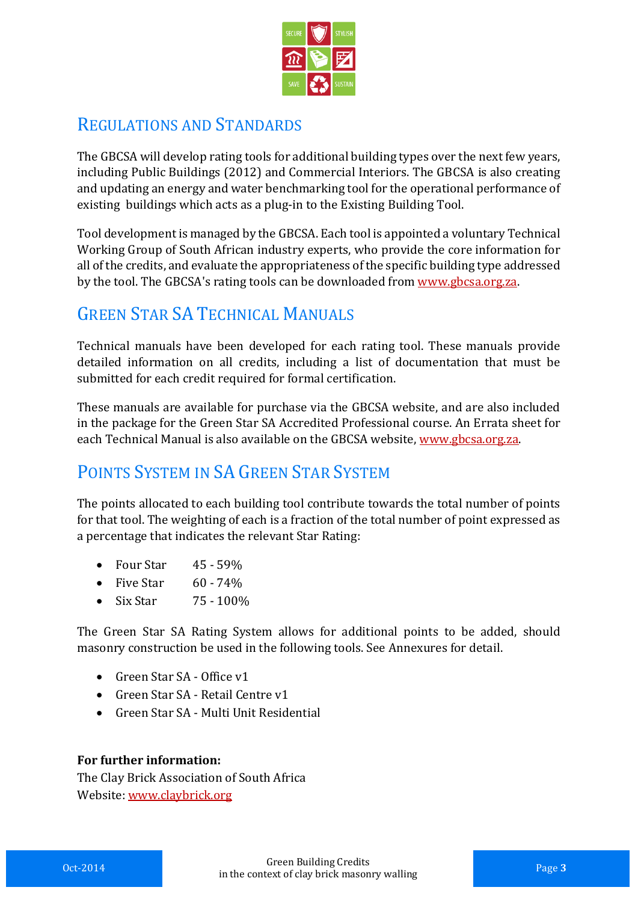

### REGULATIONS AND STANDARDS

The GBCSA will develop rating tools for additional building types over the next few years, including Public Buildings (2012) and Commercial Interiors. The GBCSA is also creating and updating an energy and water benchmarking tool for the operational performance of existing buildings which acts as a plug-in to the Existing Building Tool.

Tool development is managed by the GBCSA. Each tool is appointed a voluntary Technical Working Group of South African industry experts, who provide the core information for all of the credits, and evaluate the appropriateness of the specific building type addressed by the tool. The GBCSA's rating tools can be downloaded from [www.gbcsa.org.za.](http://www.gbcsa.org.za/)

# GREEN STAR SA TECHNICAL MANUALS

Technical manuals have been developed for each rating tool. These manuals provide detailed information on all credits, including a list of documentation that must be submitted for each credit required for formal certification.

These manuals are available for purchase via the GBCSA website, and are also included in the package for the Green Star SA Accredited Professional course. An Errata sheet for each Technical Manual is also available on the GBCSA website, [www.gbcsa.org.za.](http://www.gbcsa.org.za/)

# POINTS SYSTEM IN SA GREEN STAR SYSTEM

The points allocated to each building tool contribute towards the total number of points for that tool. The weighting of each is a fraction of the total number of point expressed as a percentage that indicates the relevant Star Rating:

- Four Star  $45 59\%$
- Five Star  $60 74\%$
- Six Star 75 100\%

The Green Star SA Rating System allows for additional points to be added, should masonry construction be used in the following tools. See Annexures for detail.

- Green Star SA Office v1
- Green Star SA Retail Centre v1
- Green Star SA Multi Unit Residential

#### **For further information:**

The Clay Brick Association of South Africa Website[: www.claybrick.org](http://www.claybrick.org.za/)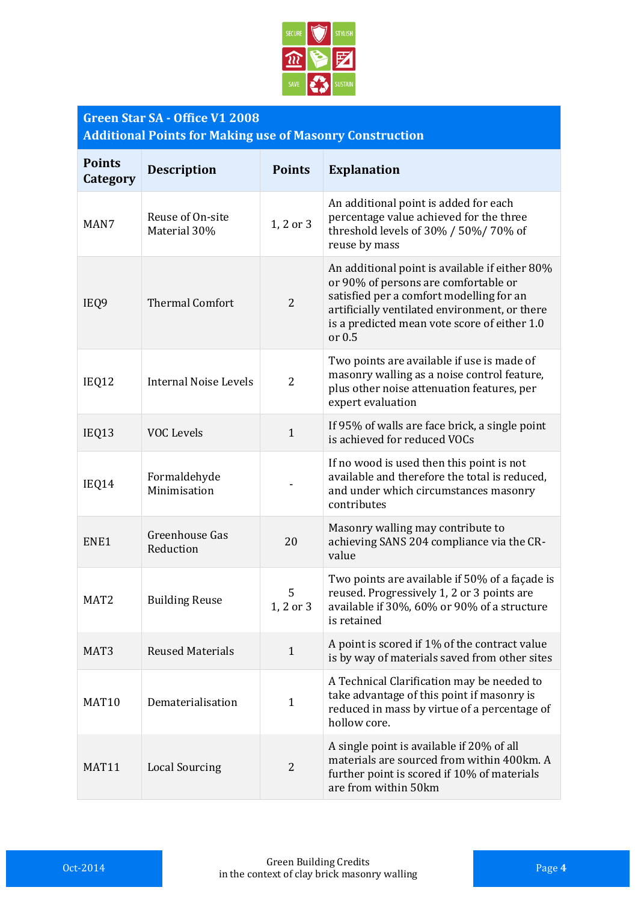

#### **Green Star SA - Office V1 2008 Additional Points for Making use of Masonry Construction**

| <b>Points</b><br>Category | <b>Description</b>               | <b>Points</b>  | <b>Explanation</b>                                                                                                                                                                                                                              |
|---------------------------|----------------------------------|----------------|-------------------------------------------------------------------------------------------------------------------------------------------------------------------------------------------------------------------------------------------------|
| MAN7                      | Reuse of On-site<br>Material 30% | 1, 2 or 3      | An additional point is added for each<br>percentage value achieved for the three<br>threshold levels of 30% / 50%/70% of<br>reuse by mass                                                                                                       |
| IEQ9                      | <b>Thermal Comfort</b>           | $\overline{2}$ | An additional point is available if either 80%<br>or 90% of persons are comfortable or<br>satisfied per a comfort modelling for an<br>artificially ventilated environment, or there<br>is a predicted mean vote score of either 1.0<br>or $0.5$ |
| IEQ12                     | <b>Internal Noise Levels</b>     | $\overline{2}$ | Two points are available if use is made of<br>masonry walling as a noise control feature,<br>plus other noise attenuation features, per<br>expert evaluation                                                                                    |
| IEQ13                     | <b>VOC Levels</b>                | $\mathbf{1}$   | If 95% of walls are face brick, a single point<br>is achieved for reduced VOCs                                                                                                                                                                  |
| IEQ14                     | Formaldehyde<br>Minimisation     |                | If no wood is used then this point is not<br>available and therefore the total is reduced,<br>and under which circumstances masonry<br>contributes                                                                                              |
| ENE1                      | Greenhouse Gas<br>Reduction      | 20             | Masonry walling may contribute to<br>achieving SANS 204 compliance via the CR-<br>value                                                                                                                                                         |
| MAT <sub>2</sub>          | <b>Building Reuse</b>            | 5<br>1, 2 or 3 | Two points are available if 50% of a façade is<br>reused. Progressively 1, 2 or 3 points are<br>available if 30%, 60% or 90% of a structure<br>is retained                                                                                      |
| MAT <sub>3</sub>          | <b>Reused Materials</b>          | $\mathbf{1}$   | A point is scored if 1% of the contract value<br>is by way of materials saved from other sites                                                                                                                                                  |
| MAT10                     | Dematerialisation                | $\mathbf{1}$   | A Technical Clarification may be needed to<br>take advantage of this point if masonry is<br>reduced in mass by virtue of a percentage of<br>hollow core.                                                                                        |
| MAT <sub>11</sub>         | <b>Local Sourcing</b>            | 2              | A single point is available if 20% of all<br>materials are sourced from within 400km. A<br>further point is scored if 10% of materials<br>are from within 50km                                                                                  |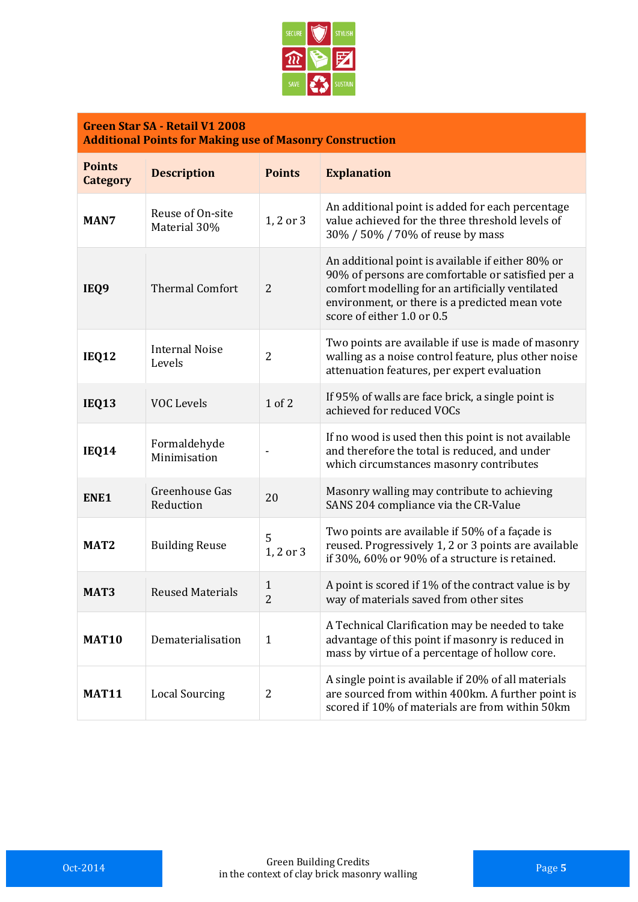

#### **Green Star SA - Retail V1 2008 Additional Points for Making use of Masonry Construction**

| <b>Points</b><br><b>Category</b> | <b>Description</b>               | <b>Points</b>       | <b>Explanation</b>                                                                                                                                                                                                                         |
|----------------------------------|----------------------------------|---------------------|--------------------------------------------------------------------------------------------------------------------------------------------------------------------------------------------------------------------------------------------|
| MAN7                             | Reuse of On-site<br>Material 30% | 1, 2 or 3           | An additional point is added for each percentage<br>value achieved for the three threshold levels of<br>30% / 50% / 70% of reuse by mass                                                                                                   |
| IEQ9                             | <b>Thermal Comfort</b>           | $\overline{2}$      | An additional point is available if either 80% or<br>90% of persons are comfortable or satisfied per a<br>comfort modelling for an artificially ventilated<br>environment, or there is a predicted mean vote<br>score of either 1.0 or 0.5 |
| <b>IEQ12</b>                     | <b>Internal Noise</b><br>Levels  | $\overline{2}$      | Two points are available if use is made of masonry<br>walling as a noise control feature, plus other noise<br>attenuation features, per expert evaluation                                                                                  |
| <b>IEQ13</b>                     | <b>VOC Levels</b>                | $1$ of $2$          | If 95% of walls are face brick, a single point is<br>achieved for reduced VOCs                                                                                                                                                             |
| <b>IEQ14</b>                     | Formaldehyde<br>Minimisation     |                     | If no wood is used then this point is not available<br>and therefore the total is reduced, and under<br>which circumstances masonry contributes                                                                                            |
| ENE1                             | Greenhouse Gas<br>Reduction      | 20                  | Masonry walling may contribute to achieving<br>SANS 204 compliance via the CR-Value                                                                                                                                                        |
| MAT <sub>2</sub>                 | <b>Building Reuse</b>            | 5<br>1, 2 or 3      | Two points are available if 50% of a façade is<br>reused. Progressively 1, 2 or 3 points are available<br>if 30%, 60% or 90% of a structure is retained.                                                                                   |
| MAT <sub>3</sub>                 | <b>Reused Materials</b>          | 1<br>$\overline{2}$ | A point is scored if 1% of the contract value is by<br>way of materials saved from other sites                                                                                                                                             |
| <b>MAT10</b>                     | Dematerialisation                | $\mathbf{1}$        | A Technical Clarification may be needed to take<br>advantage of this point if masonry is reduced in<br>mass by virtue of a percentage of hollow core.                                                                                      |
| <b>MAT11</b>                     | <b>Local Sourcing</b>            | 2                   | A single point is available if 20% of all materials<br>are sourced from within 400km. A further point is<br>scored if 10% of materials are from within 50km                                                                                |